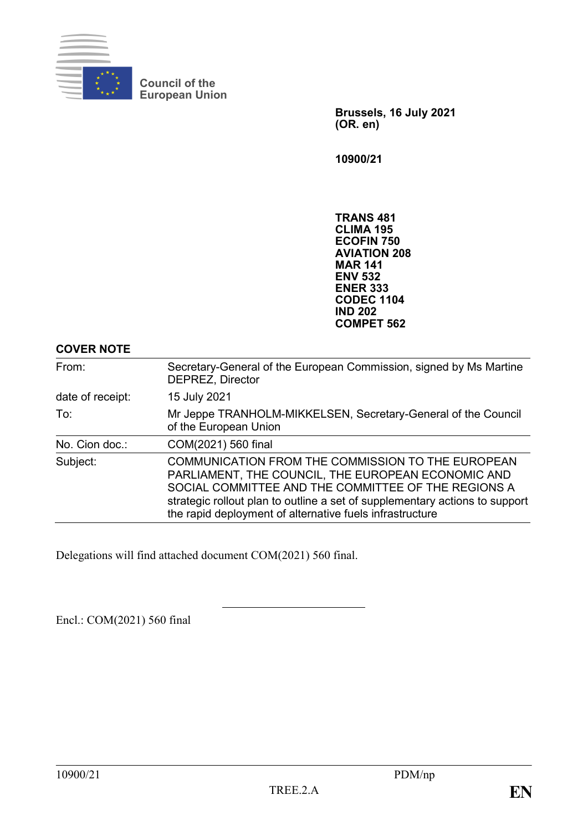

**Council of the European Union**

> **Brussels, 16 July 2021 (OR. en)**

**10900/21**

**TRANS 481 CLIMA 195 ECOFIN 750 AVIATION 208 MAR 141 ENV 532 ENER 333 CODEC 1104 IND 202 COMPET 562**

| From:            | Secretary-General of the European Commission, signed by Ms Martine<br><b>DEPREZ, Director</b>                                                                                                                                                                                                             |
|------------------|-----------------------------------------------------------------------------------------------------------------------------------------------------------------------------------------------------------------------------------------------------------------------------------------------------------|
| date of receipt: | 15 July 2021                                                                                                                                                                                                                                                                                              |
| To:              | Mr Jeppe TRANHOLM-MIKKELSEN, Secretary-General of the Council<br>of the European Union                                                                                                                                                                                                                    |
| No. Cion doc.:   | COM(2021) 560 final                                                                                                                                                                                                                                                                                       |
| Subject:         | COMMUNICATION FROM THE COMMISSION TO THE EUROPEAN<br>PARLIAMENT, THE COUNCIL, THE EUROPEAN ECONOMIC AND<br>SOCIAL COMMITTEE AND THE COMMITTEE OF THE REGIONS A<br>strategic rollout plan to outline a set of supplementary actions to support<br>the rapid deployment of alternative fuels infrastructure |

Delegations will find attached document COM(2021) 560 final.

Encl.: COM(2021) 560 final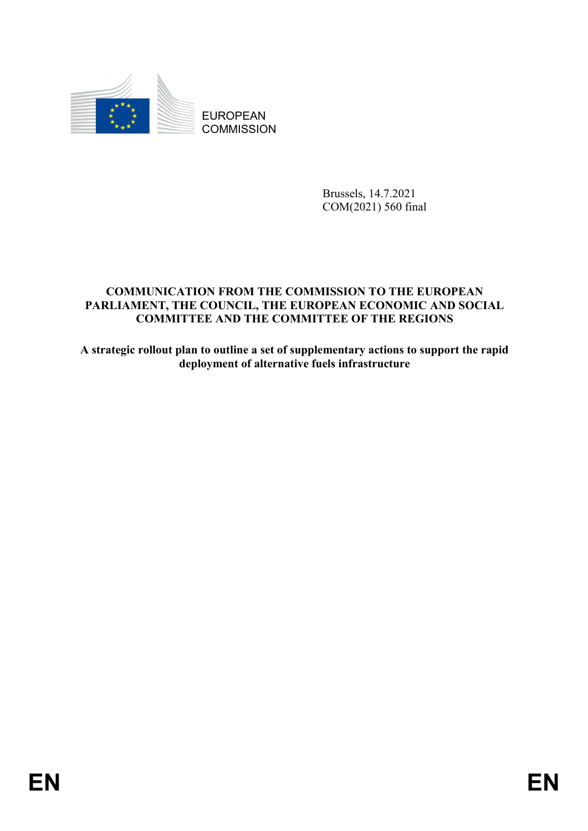

EUROPEAN **COMMISSION** 

> Brussels, 14.7.2021 COM(2021) 560 final

# **COMMUNICATION FROM THE COMMISSION TO THE EUROPEAN PARLIAMENT, THE COUNCIL, THE EUROPEAN ECONOMIC AND SOCIAL COMMITTEE AND THE COMMITTEE OF THE REGIONS**

**A strategic rollout plan to outline a set of supplementary actions to support the rapid deployment of alternative fuels infrastructure**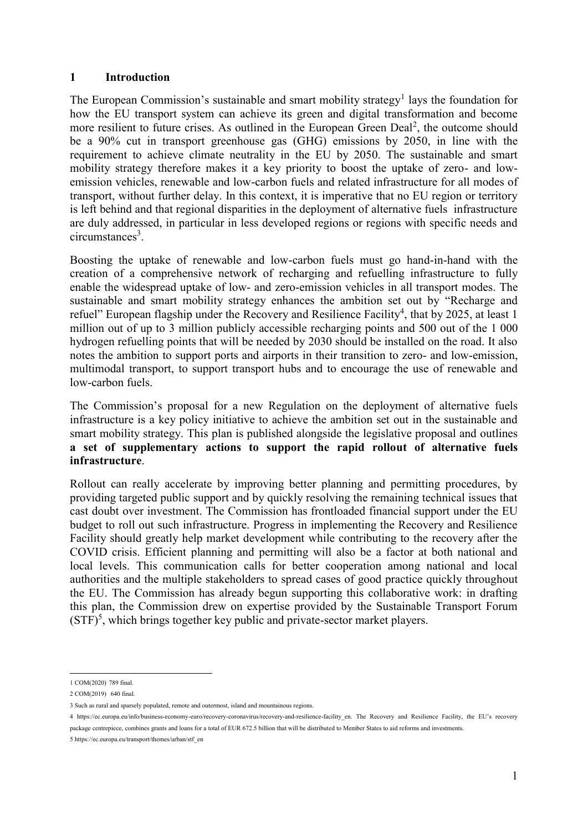#### **1 Introduction**

The European Commission's sustainable and smart mobility strategy<sup>1</sup> lays the foundation for how the EU transport system can achieve its green and digital transformation and become more resilient to future crises. As outlined in the European Green Deal<sup>2</sup>, the outcome should be a 90% cut in transport greenhouse gas (GHG) emissions by 2050, in line with the requirement to achieve climate neutrality in the EU by 2050. The sustainable and smart mobility strategy therefore makes it a key priority to boost the uptake of zero- and lowemission vehicles, renewable and low-carbon fuels and related infrastructure for all modes of transport, without further delay. In this context, it is imperative that no EU region or territory is left behind and that regional disparities in the deployment of alternative fuels infrastructure are duly addressed, in particular in less developed regions or regions with specific needs and circumstances<sup>3</sup>.

Boosting the uptake of renewable and low-carbon fuels must go hand-in-hand with the creation of a comprehensive network of recharging and refuelling infrastructure to fully enable the widespread uptake of low- and zero-emission vehicles in all transport modes. The sustainable and smart mobility strategy enhances the ambition set out by "Recharge and refuel" European flagship under the Recovery and Resilience Facility<sup>4</sup>, that by 2025, at least 1 million out of up to 3 million publicly accessible recharging points and 500 out of the 1 000 hydrogen refuelling points that will be needed by 2030 should be installed on the road. It also notes the ambition to support ports and airports in their transition to zero- and low-emission, multimodal transport, to support transport hubs and to encourage the use of renewable and low-carbon fuels.

The Commission's proposal for a new Regulation on the deployment of alternative fuels infrastructure is a key policy initiative to achieve the ambition set out in the sustainable and smart mobility strategy. This plan is published alongside the legislative proposal and outlines **a set of supplementary actions to support the rapid rollout of alternative fuels infrastructure**.

Rollout can really accelerate by improving better planning and permitting procedures, by providing targeted public support and by quickly resolving the remaining technical issues that cast doubt over investment. The Commission has frontloaded financial support under the EU budget to roll out such infrastructure. Progress in implementing the Recovery and Resilience Facility should greatly help market development while contributing to the recovery after the COVID crisis. Efficient planning and permitting will also be a factor at both national and local levels. This communication calls for better cooperation among national and local authorities and the multiple stakeholders to spread cases of good practice quickly throughout the EU. The Commission has already begun supporting this collaborative work: in drafting this plan, the Commission drew on expertise provided by the Sustainable Transport Forum  $(STF)<sup>5</sup>$ , which brings together key public and private-sector market players.

 1 COM(2020) 789 final.

<sup>2</sup> COM(2019) 640 final.

<sup>3</sup> Such as rural and sparsely populated, remote and outermost, island and mountainous regions.

<sup>4</sup> https://ec.europa.eu/info/business-economy-euro/recovery-coronavirus/recovery-and-resilience-facility en. The Recovery and Resilience Facility, the EU's recovery package centrepiece, combines grants and loans for a total of EUR 672.5 billion that will be distributed to Member States to aid reforms and investments.

<sup>5</sup> [https://ec.europa.eu/transport/themes/urban/stf\\_en](https://ec.europa.eu/transport/themes/urban/stf_en)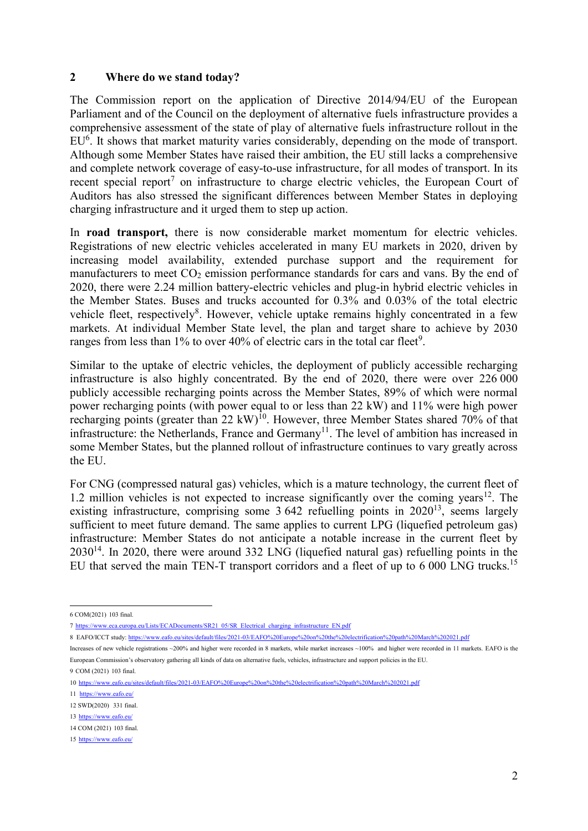#### **2 Where do we stand today?**

The Commission report on the application of Directive 2014/94/EU of the European Parliament and of the Council on the deployment of alternative fuels infrastructure provides a comprehensive assessment of the state of play of alternative fuels infrastructure rollout in the EU<sup>6</sup>. It shows that market maturity varies considerably, depending on the mode of transport. Although some Member States have raised their ambition, the EU still lacks a comprehensive and complete network coverage of easy-to-use infrastructure, for all modes of transport. In its recent special report<sup>7</sup> on infrastructure to charge electric vehicles, the European Court of Auditors has also stressed the significant differences between Member States in deploying charging infrastructure and it urged them to step up action.

In **road transport,** there is now considerable market momentum for electric vehicles. Registrations of new electric vehicles accelerated in many EU markets in 2020, driven by increasing model availability, extended purchase support and the requirement for manufacturers to meet  $CO<sub>2</sub>$  emission performance standards for cars and vans. By the end of 2020, there were 2.24 million battery-electric vehicles and plug-in hybrid electric vehicles in the Member States. Buses and trucks accounted for 0.3% and 0.03% of the total electric vehicle fleet, respectively<sup>8</sup>. However, vehicle uptake remains highly concentrated in a few markets. At individual Member State level, the plan and target share to achieve by 2030 ranges from less than  $1\%$  to over 40% of electric cars in the total car fleet<sup>9</sup>.

Similar to the uptake of electric vehicles, the deployment of publicly accessible recharging infrastructure is also highly concentrated. By the end of 2020, there were over 226 000 publicly accessible recharging points across the Member States, 89% of which were normal power recharging points (with power equal to or less than 22 kW) and 11% were high power recharging points (greater than 22 kW)<sup>10</sup>. However, three Member States shared 70% of that infrastructure: the Netherlands, France and Germany<sup>11</sup>. The level of ambition has increased in some Member States, but the planned rollout of infrastructure continues to vary greatly across the EU.

For CNG (compressed natural gas) vehicles, which is a mature technology, the current fleet of 1.2 million vehicles is not expected to increase significantly over the coming years<sup>12</sup>. The existing infrastructure, comprising some  $3642$  refuelling points in  $2020^{13}$ , seems largely sufficient to meet future demand. The same applies to current LPG (liquefied petroleum gas) infrastructure: Member States do not anticipate a notable increase in the current fleet by  $2030^{14}$ . In 2020, there were around 332 LNG (liquefied natural gas) refuelling points in the EU that served the main TEN-T transport corridors and a fleet of up to 6 000 LNG trucks.<sup>15</sup>

9 COM (2021) 103 final.

<sup>1</sup> 6 COM(2021) 103 final.

<sup>7</sup> https://www.eca.europa.eu/Lists/ECADocuments/SR21\_05/SR\_Electrical\_charging\_infrastructure

<sup>7</sup> https://www.eca.europa.eu/Lists/ECADocuments/SR21\_05/SR\_Electrical\_charging\_infrastructure\_EN.pdf<br>8 EAFO/ICCT study: <u>https://www.eafo.eu/sites/default/files/2021-03/EAFO%20Europe%20on%20the%20electrification%20path%20Ma</u>

Increases of new vehicle registrations ~200% and higher were recorded in 8 markets, while market increases ~100% and higher were recorded in 11 markets. EAFO is the European Commission's observatory gathering all kinds of data on alternative fuels, vehicles, infrastructure and support policies in the EU.

<sup>10</sup> <https://www.eafo.eu/sites/default/files/2021-03/EAFO%20Europe%20on%20the%20electrification%20path%20March%202021.pdf>

<sup>11</sup><https://www.eafo.eu/>

<sup>12</sup> SWD(2020) 331 final.

<sup>13</sup> <https://www.eafo.eu/>

<sup>14</sup> COM (2021) 103 final.

<sup>15</sup> <https://www.eafo.eu/>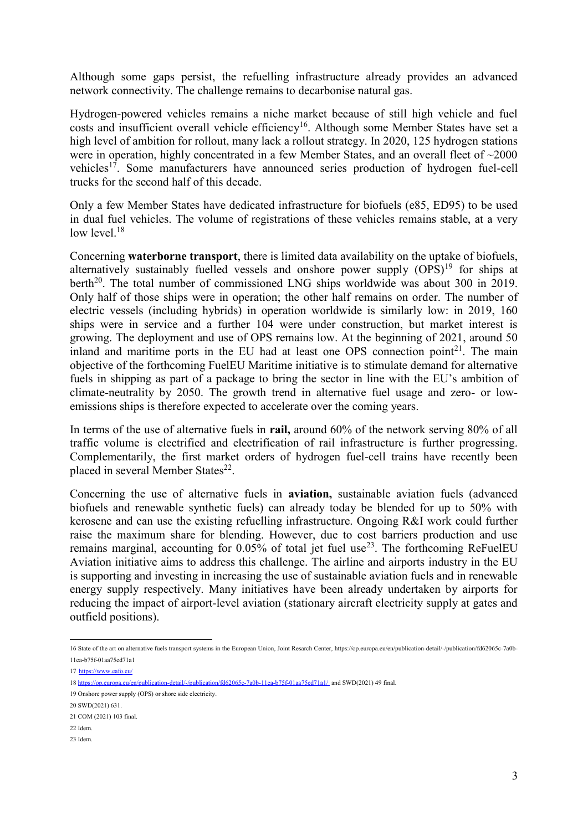Although some gaps persist, the refuelling infrastructure already provides an advanced network connectivity. The challenge remains to decarbonise natural gas.

Hydrogen-powered vehicles remains a niche market because of still high vehicle and fuel costs and insufficient overall vehicle efficiency<sup>16</sup>. Although some Member States have set a high level of ambition for rollout, many lack a rollout strategy. In 2020, 125 hydrogen stations were in operation, highly concentrated in a few Member States, and an overall fleet of ~2000 vehicles<sup>17</sup>. Some manufacturers have announced series production of hydrogen fuel-cell trucks for the second half of this decade.

Only a few Member States have dedicated infrastructure for biofuels (e85, ED95) to be used in dual fuel vehicles. The volume of registrations of these vehicles remains stable, at a very low level. $18$ 

Concerning **waterborne transport**, there is limited data availability on the uptake of biofuels, alternatively sustainably fuelled vessels and onshore power supply  $(OPS)^{19}$  for ships at berth<sup>20</sup>. The total number of commissioned LNG ships worldwide was about 300 in 2019. Only half of those ships were in operation; the other half remains on order. The number of electric vessels (including hybrids) in operation worldwide is similarly low: in 2019, 160 ships were in service and a further 104 were under construction, but market interest is growing. The deployment and use of OPS remains low. At the beginning of 2021, around 50 inland and maritime ports in the EU had at least one OPS connection point $2^1$ . The main objective of the forthcoming FuelEU Maritime initiative is to stimulate demand for alternative fuels in shipping as part of a package to bring the sector in line with the EU's ambition of climate-neutrality by 2050. The growth trend in alternative fuel usage and zero- or lowemissions ships is therefore expected to accelerate over the coming years.

In terms of the use of alternative fuels in **rail,** around 60% of the network serving 80% of all traffic volume is electrified and electrification of rail infrastructure is further progressing. Complementarily, the first market orders of hydrogen fuel-cell trains have recently been placed in several Member States<sup>22</sup>.

Concerning the use of alternative fuels in **aviation,** sustainable aviation fuels (advanced biofuels and renewable synthetic fuels) can already today be blended for up to 50% with kerosene and can use the existing refuelling infrastructure. Ongoing R&I work could further raise the maximum share for blending. However, due to cost barriers production and use remains marginal, accounting for  $0.05\%$  of total jet fuel use<sup>23</sup>. The forthcoming ReFuelEU Aviation initiative aims to address this challenge. The airline and airports industry in the EU is supporting and investing in increasing the use of sustainable aviation fuels and in renewable energy supply respectively. Many initiatives have been already undertaken by airports for reducing the impact of airport-level aviation (stationary aircraft electricity supply at gates and outfield positions).

1

<sup>16</sup> State of the art on alternative fuels transport systems in the European Union, Joint Resarch Center, [https://op.europa.eu/en/publication-detail/-/publication/fd62065c-7a0b-](https://op.europa.eu/en/publication-detail/-/publication/fd62065c-7a0b-11ea-b75f-01aa75ed71a1)[11ea-b75f-01aa75ed71a1](https://op.europa.eu/en/publication-detail/-/publication/fd62065c-7a0b-11ea-b75f-01aa75ed71a1)

<sup>17</sup> <https://www.eafo.eu/>

<sup>18</sup> <https://op.europa.eu/en/publication-detail/-/publication/fd62065c-7a0b-11ea-b75f-01aa75ed71a1/> and SWD(2021) 49 final.

<sup>19</sup> Onshore power supply (OPS) or shore side electricity.

<sup>20</sup> SWD(2021) 631.

<sup>21</sup> COM (2021) 103 final.

<sup>22</sup> Idem.

<sup>23</sup> Idem.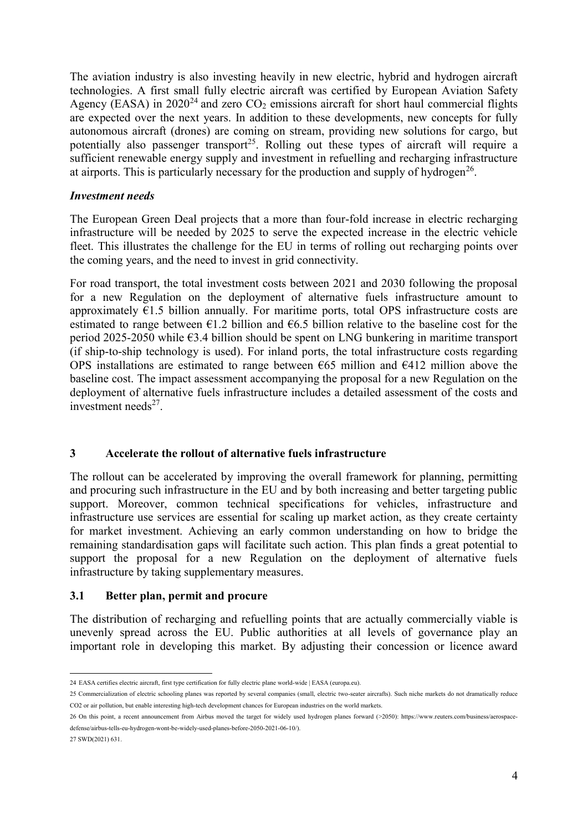The aviation industry is also investing heavily in new electric, hybrid and hydrogen aircraft technologies. A first small fully electric aircraft was certified by European Aviation Safety Agency (EASA) in 2020<sup>24</sup> and zero  $CO<sub>2</sub>$  emissions aircraft for short haul commercial flights are expected over the next years. In addition to these developments, new concepts for fully autonomous aircraft (drones) are coming on stream, providing new solutions for cargo, but potentially also passenger transport<sup>25</sup>. Rolling out these types of aircraft will require a sufficient renewable energy supply and investment in refuelling and recharging infrastructure at airports. This is particularly necessary for the production and supply of hydrogen<sup>26</sup>.

# *Investment needs*

The European Green Deal projects that a more than four-fold increase in electric recharging infrastructure will be needed by 2025 to serve the expected increase in the electric vehicle fleet. This illustrates the challenge for the EU in terms of rolling out recharging points over the coming years, and the need to invest in grid connectivity.

For road transport, the total investment costs between 2021 and 2030 following the proposal for a new Regulation on the deployment of alternative fuels infrastructure amount to approximately  $E1.5$  billion annually. For maritime ports, total OPS infrastructure costs are estimated to range between  $\epsilon$ 1.2 billion and  $\epsilon$ 6.5 billion relative to the baseline cost for the period 2025-2050 while €3.4 billion should be spent on LNG bunkering in maritime transport (if ship-to-ship technology is used). For inland ports, the total infrastructure costs regarding OPS installations are estimated to range between  $\epsilon$ 65 million and  $\epsilon$ 412 million above the baseline cost. The impact assessment accompanying the proposal for a new Regulation on the deployment of alternative fuels infrastructure includes a detailed assessment of the costs and investment needs<sup>27</sup>.

# **3 Accelerate the rollout of alternative fuels infrastructure**

The rollout can be accelerated by improving the overall framework for planning, permitting and procuring such infrastructure in the EU and by both increasing and better targeting public support. Moreover, common technical specifications for vehicles, infrastructure and infrastructure use services are essential for scaling up market action, as they create certainty for market investment. Achieving an early common understanding on how to bridge the remaining standardisation gaps will facilitate such action. This plan finds a great potential to support the proposal for a new Regulation on the deployment of alternative fuels infrastructure by taking supplementary measures.

# **3.1 Better plan, permit and procure**

The distribution of recharging and refuelling points that are actually commercially viable is unevenly spread across the EU. Public authorities at all levels of governance play an important role in developing this market. By adjusting their concession or licence award

27 SWD(2021) 631.

<sup>1</sup> 24 [EASA certifies electric aircraft, first type certification for fully electric plane world-wide | EASA \(europa.eu\).](https://www.easa.europa.eu/newsroom-and-events/press-releases/easa-certifies-electric-aircraft-first-type-certification-fully)

<sup>25</sup> Commercialization of electric schooling planes was reported by several companies (small, electric two-seater aircrafts). Such niche markets do not dramatically reduce CO2 or air pollution, but enable interesting high-tech development chances for European industries on the world markets.

<sup>26</sup> On this point, a recent announcement from Airbus moved the target for widely used hydrogen planes forward (>2050): https://www.reuters.com/business/aerospacedefense/airbus-tells-eu-hydrogen-wont-be-widely-used-planes-before-2050-2021-06-10/).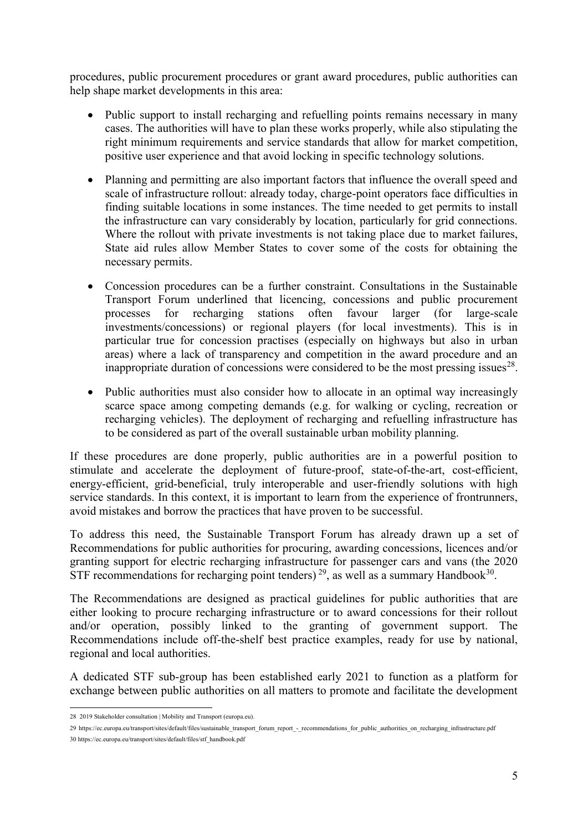procedures, public procurement procedures or grant award procedures, public authorities can help shape market developments in this area:

- Public support to install recharging and refuelling points remains necessary in many cases. The authorities will have to plan these works properly, while also stipulating the right minimum requirements and service standards that allow for market competition, positive user experience and that avoid locking in specific technology solutions.
- Planning and permitting are also important factors that influence the overall speed and scale of infrastructure rollout: already today, charge-point operators face difficulties in finding suitable locations in some instances. The time needed to get permits to install the infrastructure can vary considerably by location, particularly for grid connections. Where the rollout with private investments is not taking place due to market failures, State aid rules allow Member States to cover some of the costs for obtaining the necessary permits.
- Concession procedures can be a further constraint. Consultations in the Sustainable Transport Forum underlined that licencing, concessions and public procurement processes for recharging stations often favour larger (for large-scale investments/concessions) or regional players (for local investments). This is in particular true for concession practises (especially on highways but also in urban areas) where a lack of transparency and competition in the award procedure and an inappropriate duration of concessions were considered to be the most pressing issues<sup>28</sup>.
- Public authorities must also consider how to allocate in an optimal way increasingly scarce space among competing demands (e.g. for walking or cycling, recreation or recharging vehicles). The deployment of recharging and refuelling infrastructure has to be considered as part of the overall sustainable urban mobility planning.

If these procedures are done properly, public authorities are in a powerful position to stimulate and accelerate the deployment of future-proof, state-of-the-art, cost-efficient, energy-efficient, grid-beneficial, truly interoperable and user-friendly solutions with high service standards. In this context, it is important to learn from the experience of frontrunners, avoid mistakes and borrow the practices that have proven to be successful.

To address this need, the Sustainable Transport Forum has already drawn up a set of Recommendations for public authorities for procuring, awarding concessions, licences and/or granting support for electric recharging infrastructure for passenger cars and vans (the 2020 STF recommendations for recharging point tenders)<sup>29</sup>, as well as a summary Handbook<sup>30</sup>.

The Recommendations are designed as practical guidelines for public authorities that are either looking to procure recharging infrastructure or to award concessions for their rollout and/or operation, possibly linked to the granting of government support. The Recommendations include off-the-shelf best practice examples, ready for use by national, regional and local authorities.

A dedicated STF sub-group has been established early 2021 to function as a platform for exchange between public authorities on all matters to promote and facilitate the development

<sup>1</sup> 28 [2019 Stakeholder consultation | Mobility and Transport \(europa.eu\).](https://ec.europa.eu/transport/themes/urban/stf/deliverables/2019-workstreams_en_en)

<sup>29</sup> [https://ec.europa.eu/transport/sites/default/files/sustainable\\_transport\\_forum\\_report\\_-\\_recommendations\\_for\\_public\\_authorities\\_on\\_recharging\\_infrastructure.pdf](https://ec.europa.eu/transport/sites/default/files/sustainable_transport_forum_report_-_recommendations_for_public_authorities_on_recharging_infrastructure.pdf)

<sup>30</sup> https://ec.europa.eu/transport/sites/default/files/stf\_handbook.pdf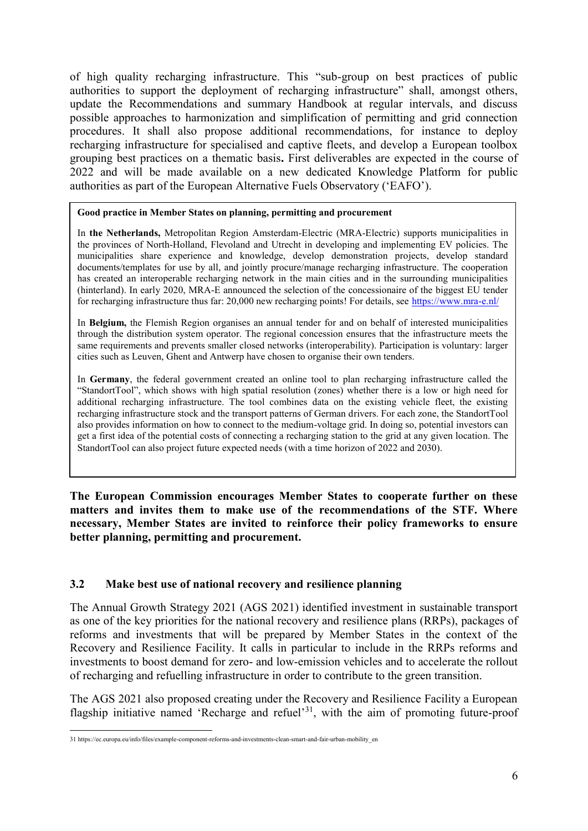of high quality recharging infrastructure. This "sub-group on best practices of public authorities to support the deployment of recharging infrastructure" shall, amongst others, update the Recommendations and summary Handbook at regular intervals, and discuss possible approaches to harmonization and simplification of permitting and grid connection procedures. It shall also propose additional recommendations, for instance to deploy recharging infrastructure for specialised and captive fleets, and develop a European toolbox grouping best practices on a thematic basis**.** First deliverables are expected in the course of 2022 and will be made available on a new dedicated Knowledge Platform for public authorities as part of the European Alternative Fuels Observatory ('EAFO').

#### **Good practice in Member States on planning, permitting and procurement**

In **the Netherlands,** Metropolitan Region Amsterdam-Electric (MRA-Electric) supports municipalities in the provinces of North-Holland, Flevoland and Utrecht in developing and implementing EV policies. The municipalities share experience and knowledge, develop demonstration projects, develop standard documents/templates for use by all, and jointly procure/manage recharging infrastructure. The cooperation has created an interoperable recharging network in the main cities and in the surrounding municipalities (hinterland). In early 2020, MRA-E announced the selection of the concessionaire of the biggest EU tender for recharging infrastructure thus far: 20,000 new recharging points! For details, see<https://www.mra-e.nl/>

In **Belgium,** the Flemish Region organises an annual tender for and on behalf of interested municipalities through the distribution system operator. The regional concession ensures that the infrastructure meets the same requirements and prevents smaller closed networks (interoperability). Participation is voluntary: larger cities such as Leuven, Ghent and Antwerp have chosen to organise their own tenders.

In **Germany**, the federal government created an online tool to plan recharging infrastructure called the "StandortTool", which shows with high spatial resolution (zones) whether there is a low or high need for additional recharging infrastructure. The tool combines data on the existing vehicle fleet, the existing recharging infrastructure stock and the transport patterns of German drivers. For each zone, the StandortTool also provides information on how to connect to the medium-voltage grid. In doing so, potential investors can get a first idea of the potential costs of connecting a recharging station to the grid at any given location. The StandortTool can also project future expected needs (with a time horizon of 2022 and 2030).

**The European Commission encourages Member States to cooperate further on these matters and invites them to make use of the recommendations of the STF. Where necessary, Member States are invited to reinforce their policy frameworks to ensure better planning, permitting and procurement.** 

# **3.2 Make best use of national recovery and resilience planning**

The Annual Growth Strategy 2021 (AGS 2021) identified investment in sustainable transport as one of the key priorities for the national recovery and resilience plans (RRPs), packages of reforms and investments that will be prepared by Member States in the context of the Recovery and Resilience Facility. It calls in particular to include in the RRPs reforms and investments to boost demand for zero- and low-emission vehicles and to accelerate the rollout of recharging and refuelling infrastructure in order to contribute to the green transition.

The AGS 2021 also proposed creating under the Recovery and Resilience Facility a European flagship initiative named 'Recharge and refuel'<sup>31</sup>, with the aim of promoting future-proof

<sup>&</sup>lt;u>.</u> 31 https://ec.europa.eu/info/files/example-component-reforms-and-investments-clean-smart-and-fair-urban-mobility\_en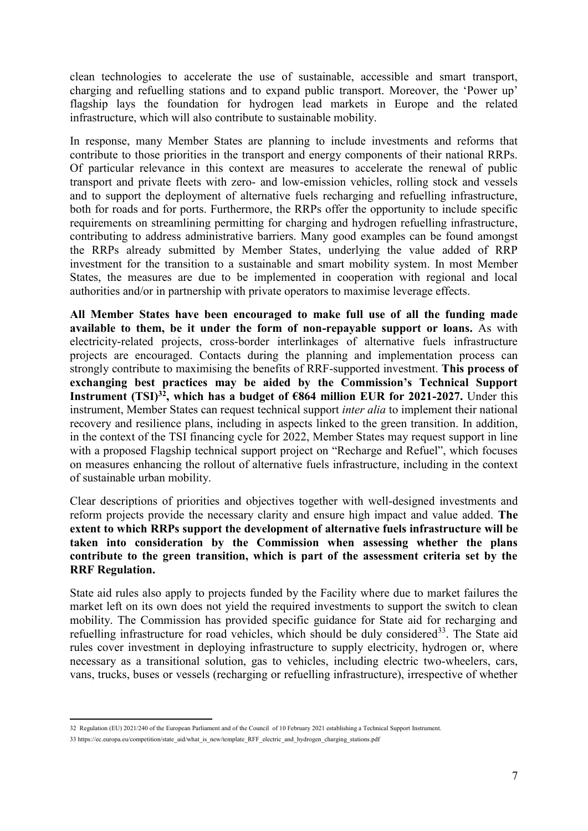clean technologies to accelerate the use of sustainable, accessible and smart transport, charging and refuelling stations and to expand public transport. Moreover, the 'Power up' flagship lays the foundation for hydrogen lead markets in Europe and the related infrastructure, which will also contribute to sustainable mobility.

In response, many Member States are planning to include investments and reforms that contribute to those priorities in the transport and energy components of their national RRPs. Of particular relevance in this context are measures to accelerate the renewal of public transport and private fleets with zero- and low-emission vehicles, rolling stock and vessels and to support the deployment of alternative fuels recharging and refuelling infrastructure, both for roads and for ports. Furthermore, the RRPs offer the opportunity to include specific requirements on streamlining permitting for charging and hydrogen refuelling infrastructure, contributing to address administrative barriers. Many good examples can be found amongst the RRPs already submitted by Member States, underlying the value added of RRP investment for the transition to a sustainable and smart mobility system. In most Member States, the measures are due to be implemented in cooperation with regional and local authorities and/or in partnership with private operators to maximise leverage effects.

**All Member States have been encouraged to make full use of all the funding made available to them, be it under the form of non-repayable support or loans.** As with electricity-related projects, cross-border interlinkages of alternative fuels infrastructure projects are encouraged. Contacts during the planning and implementation process can strongly contribute to maximising the benefits of RRF-supported investment. **This process of exchanging best practices may be aided by the Commission's Technical Support Instrument (TSI)<sup>32</sup>, which has a budget of**  $\epsilon$ **864 million EUR for 2021-2027.** Under this instrument, Member States can request technical support *inter alia* to implement their national recovery and resilience plans, including in aspects linked to the green transition. In addition, in the context of the TSI financing cycle for 2022, Member States may request support in line with a proposed Flagship technical support project on "Recharge and Refuel", which focuses on measures enhancing the rollout of alternative fuels infrastructure, including in the context of sustainable urban mobility.

Clear descriptions of priorities and objectives together with well-designed investments and reform projects provide the necessary clarity and ensure high impact and value added. **The extent to which RRPs support the development of alternative fuels infrastructure will be taken into consideration by the Commission when assessing whether the plans contribute to the green transition, which is part of the assessment criteria set by the RRF Regulation.** 

State aid rules also apply to projects funded by the Facility where due to market failures the market left on its own does not yield the required investments to support the switch to clean mobility. The Commission has provided specific guidance for State aid for recharging and refuelling infrastructure for road vehicles, which should be duly considered<sup>33</sup>. The State aid rules cover investment in deploying infrastructure to supply electricity, hydrogen or, where necessary as a transitional solution, gas to vehicles, including electric two-wheelers, cars, vans, trucks, buses or vessels (recharging or refuelling infrastructure), irrespective of whether

 32 Regulation (EU) 2021/240 of the European Parliament and of the Council of 10 February 2021 establishing a Technical Support Instrument.

<sup>33</sup> https://ec.europa.eu/competition/state\_aid/what\_is\_new/template\_RFF\_electric\_and\_hydrogen\_charging\_stations.pdf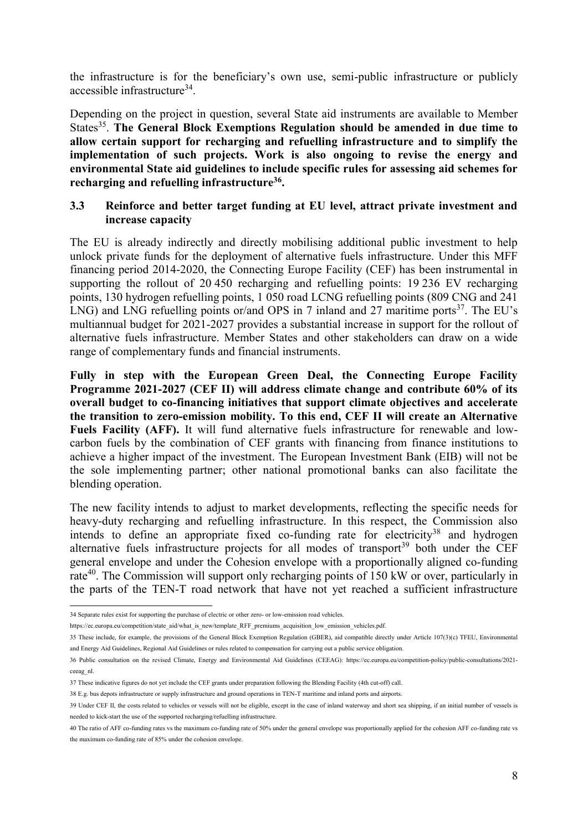the infrastructure is for the beneficiary's own use, semi-public infrastructure or publicly accessible infrastructure<sup>34</sup>.

Depending on the project in question, several State aid instruments are available to Member States<sup>35</sup>. The General Block Exemptions Regulation should be amended in due time to **allow certain support for recharging and refuelling infrastructure and to simplify the implementation of such projects. Work is also ongoing to revise the energy and environmental State aid guidelines to include specific rules for assessing aid schemes for recharging and refuelling infrastructure<sup>36</sup> .** 

#### **3.3 Reinforce and better target funding at EU level, attract private investment and increase capacity**

The EU is already indirectly and directly mobilising additional public investment to help unlock private funds for the deployment of alternative fuels infrastructure. Under this MFF financing period 2014-2020, the Connecting Europe Facility (CEF) has been instrumental in supporting the rollout of 20 450 recharging and refuelling points: 19 236 EV recharging points, 130 hydrogen refuelling points, 1 050 road LCNG refuelling points (809 CNG and 241 LNG) and LNG refuelling points or/and OPS in 7 inland and 27 maritime ports $37$ . The EU's multiannual budget for 2021-2027 provides a substantial increase in support for the rollout of alternative fuels infrastructure. Member States and other stakeholders can draw on a wide range of complementary funds and financial instruments.

**Fully in step with the European Green Deal, the Connecting Europe Facility Programme 2021-2027 (CEF II) will address climate change and contribute 60% of its overall budget to co-financing initiatives that support climate objectives and accelerate the transition to zero-emission mobility. To this end, CEF II will create an Alternative Fuels Facility (AFF).** It will fund alternative fuels infrastructure for renewable and lowcarbon fuels by the combination of CEF grants with financing from finance institutions to achieve a higher impact of the investment. The European Investment Bank (EIB) will not be the sole implementing partner; other national promotional banks can also facilitate the blending operation.

The new facility intends to adjust to market developments, reflecting the specific needs for heavy-duty recharging and refuelling infrastructure. In this respect, the Commission also intends to define an appropriate fixed co-funding rate for electricity<sup>38</sup> and hydrogen alternative fuels infrastructure projects for all modes of transport<sup>39</sup> both under the CEF general envelope and under the Cohesion envelope with a proportionally aligned co-funding rate<sup>40</sup>. The Commission will support only recharging points of 150 kW or over, particularly in the parts of the TEN-T road network that have not yet reached a sufficient infrastructure

1

<sup>34</sup> Separate rules exist for supporting the purchase of electric or other zero- or low-emission road vehicles.

[https://ec.europa.eu/competition/state\\_aid/what\\_is\\_new/template\\_RFF\\_premiums\\_acquisition\\_low\\_emission\\_vehicles.pdf.](https://ec.europa.eu/competition/state_aid/what_is_new/template_RFF_premiums_acquisition_low_emission_vehicles.pdf)

<sup>35</sup> These include, for example, the provisions of the General Block Exemption Regulation (GBER), aid compatible directly under Article 107(3)(c) TFEU, Environmental and Energy Aid Guidelines, Regional Aid Guidelines or rules related to compensation for carrying out a public service obligation.

<sup>36</sup> Public consultation on the revised Climate, Energy and Environmental Aid Guidelines (CEEAG): [https://ec.europa.eu/competition-policy/public-consultations/2021](https://ec.europa.eu/competition-policy/public-consultations/2021-ceeag_nl) [ceeag\\_nl.](https://ec.europa.eu/competition-policy/public-consultations/2021-ceeag_nl) 

<sup>37</sup> These indicative figures do not yet include the CEF grants under preparation following the Blending Facility (4th cut-off) call.

<sup>38</sup> E.g. bus depots infrastructure or supply infrastructure and ground operations in TEN-T maritime and inland ports and airports.

<sup>39</sup> Under CEF II, the costs related to vehicles or vessels will not be eligible, except in the case of inland waterway and short sea shipping, if an initial number of vessels is needed to kick-start the use of the supported recharging/refuelling infrastructure.

<sup>40</sup> The ratio of AFF co-funding rates vs the maximum co-funding rate of 50% under the general envelope was proportionally applied for the cohesion AFF co-funding rate vs the maximum co-funding rate of 85% under the cohesion envelope.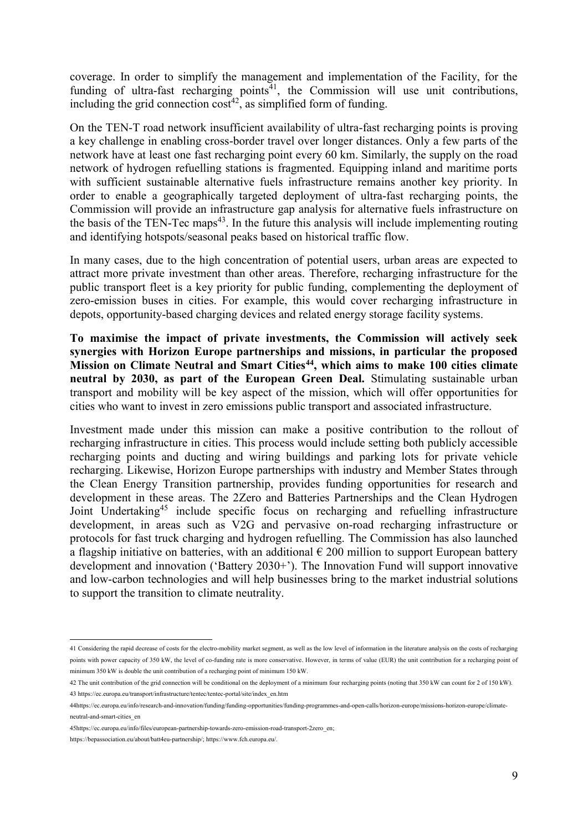coverage. In order to simplify the management and implementation of the Facility, for the funding of ultra-fast recharging points $41$ , the Commission will use unit contributions, including the grid connection  $cost^{42}$ , as simplified form of funding.

On the TEN-T road network insufficient availability of ultra-fast recharging points is proving a key challenge in enabling cross-border travel over longer distances. Only a few parts of the network have at least one fast recharging point every 60 km. Similarly, the supply on the road network of hydrogen refuelling stations is fragmented. Equipping inland and maritime ports with sufficient sustainable alternative fuels infrastructure remains another key priority. In order to enable a geographically targeted deployment of ultra-fast recharging points, the Commission will provide an infrastructure gap analysis for alternative fuels infrastructure on the basis of the TEN-Tec maps<sup>43</sup>. In the future this analysis will include implementing routing and identifying hotspots/seasonal peaks based on historical traffic flow.

In many cases, due to the high concentration of potential users, urban areas are expected to attract more private investment than other areas. Therefore, recharging infrastructure for the public transport fleet is a key priority for public funding, complementing the deployment of zero-emission buses in cities. For example, this would cover recharging infrastructure in depots, opportunity-based charging devices and related energy storage facility systems.

**To maximise the impact of private investments, the Commission will actively seek synergies with Horizon Europe partnerships and missions, in particular the proposed Mission on Climate Neutral and Smart Cities<sup>44</sup>, which aims to make 100 cities climate neutral by 2030, as part of the European Green Deal.** Stimulating sustainable urban transport and mobility will be key aspect of the mission, which will offer opportunities for cities who want to invest in zero emissions public transport and associated infrastructure.

Investment made under this mission can make a positive contribution to the rollout of recharging infrastructure in cities. This process would include setting both publicly accessible recharging points and ducting and wiring buildings and parking lots for private vehicle recharging. Likewise, Horizon Europe partnerships with industry and Member States through the Clean Energy Transition partnership, provides funding opportunities for research and development in these areas. The 2Zero and Batteries Partnerships and the Clean Hydrogen Joint Undertaking<sup>45</sup> include specific focus on recharging and refuelling infrastructure development, in areas such as V2G and pervasive on-road recharging infrastructure or protocols for fast truck charging and hydrogen refuelling. The Commission has also launched a flagship initiative on batteries, with an additional  $\epsilon$  200 million to support European battery development and innovation ('Battery 2030+'). The Innovation Fund will support innovative and low-carbon technologies and will help businesses bring to the market industrial solutions to support the transition to climate neutrality.

1

<sup>41</sup> Considering the rapid decrease of costs for the electro-mobility market segment, as well as the low level of information in the literature analysis on the costs of recharging points with power capacity of 350 kW, the level of co-funding rate is more conservative. However, in terms of value (EUR) the unit contribution for a recharging point of minimum 350 kW is double the unit contribution of a recharging point of minimum 150 kW.

<sup>42</sup> The unit contribution of the grid connection will be conditional on the deployment of a minimum four recharging points (noting that 350 kW can count for 2 of 150 kW). 43 [https://ec.europa.eu/transport/infrastructure/tentec/tentec-portal/site/index\\_en.htm](https://ec.europa.eu/transport/infrastructure/tentec/tentec-portal/site/index_en.htm) 

<sup>44</sup>https://ec.europa.eu/info/research-and-innovation/funding/funding-opportunities/funding-programmes-and-open-calls/horizon-europe/missions-horizon-europe/climateneutral-and-smart-cities\_en

<sup>4</sup>[5https://ec.europa.eu/info/files/european-partnership-towards-zero-emission-road-transport-2zero\\_en;](https://ec.europa.eu/info/files/european-partnership-towards-zero-emission-road-transport-2zero_en)

[https://bepassociation.eu/about/batt4eu-partnership/;](https://bepassociation.eu/about/batt4eu-partnership/) https://www.fch.europa.eu/.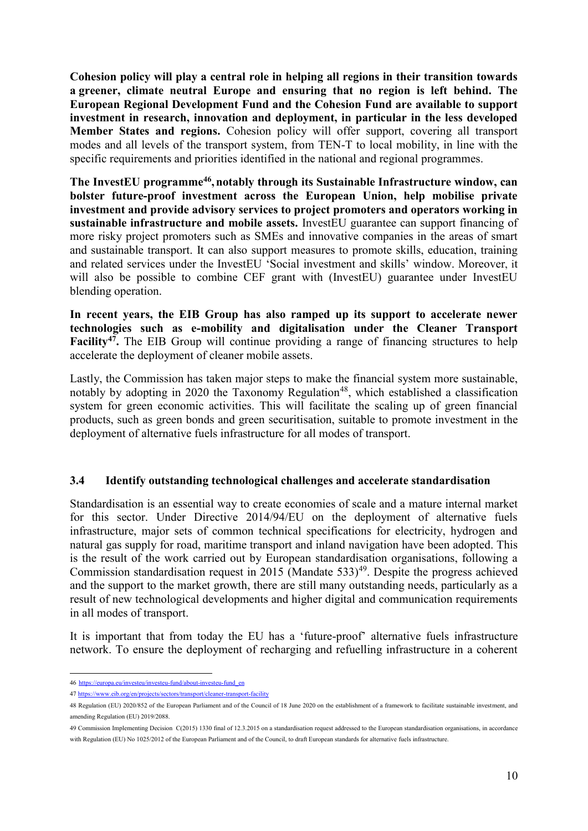**Cohesion policy will play a central role in helping all regions in their transition towards a greener, climate neutral Europe and ensuring that no region is left behind. The European Regional Development Fund and the Cohesion Fund are available to support investment in research, innovation and deployment, in particular in the less developed Member States and regions.** Cohesion policy will offer support, covering all transport modes and all levels of the transport system, from TEN-T to local mobility, in line with the specific requirements and priorities identified in the national and regional programmes.

The InvestEU programme<sup>46</sup>, notably through its Sustainable Infrastructure window, can **bolster future-proof investment across the European Union, help mobilise private investment and provide advisory services to project promoters and operators working in sustainable infrastructure and mobile assets.** InvestEU guarantee can support financing of more risky project promoters such as SMEs and innovative companies in the areas of smart and sustainable transport. It can also support measures to promote skills, education, training and related services under the InvestEU 'Social investment and skills' window. Moreover, it will also be possible to combine CEF grant with (InvestEU) guarantee under InvestEU blending operation.

**In recent years, the EIB Group has also ramped up its support to accelerate newer technologies such as e-mobility and digitalisation under the Cleaner Transport Facility<sup>47</sup>.** The EIB Group will continue providing a range of financing structures to help accelerate the deployment of cleaner mobile assets.

Lastly, the Commission has taken major steps to make the financial system more sustainable, notably by adopting in 2020 the Taxonomy Regulation<sup>48</sup>, which established a classification system for green economic activities. This will facilitate the scaling up of green financial products, such as green bonds and green securitisation, suitable to promote investment in the deployment of alternative fuels infrastructure for all modes of transport.

# **3.4 Identify outstanding technological challenges and accelerate standardisation**

Standardisation is an essential way to create economies of scale and a mature internal market for this sector. Under Directive 2014/94/EU on the deployment of alternative fuels infrastructure, major sets of common technical specifications for electricity, hydrogen and natural gas supply for road, maritime transport and inland navigation have been adopted. This is the result of the work carried out by European standardisation organisations, following a Commission standardisation request in 2015 (Mandate  $533$ <sup>49</sup>. Despite the progress achieved and the support to the market growth, there are still many outstanding needs, particularly as a result of new technological developments and higher digital and communication requirements in all modes of transport.

It is important that from today the EU has a 'future-proof' alternative fuels infrastructure network. To ensure the deployment of recharging and refuelling infrastructure in a coherent

<sup>1</sup> 46 [https://europa.eu/investeu/investeu-fund/about-investeu-fund\\_en](https://europa.eu/investeu/investeu-fund/about-investeu-fund_en)

<sup>47</sup> [https://www.eib.org/en/projects/sectors/transport/cleaner-transport-fa](https://www.eib.org/en/projects/sectors/transport/cleaner-transport-f)cility

<sup>48</sup> [Regulation \(EU\) 2020/852](https://eur-lex.europa.eu/legal-content/EN/TXT/?uri=CELEX:32020R0852) of the European Parliament and of the Council of 18 June 2020 on the establishment of a framework to facilitate sustainable investment, and amending Regulation (EU) 2019/2088.

<sup>49</sup> Commission Implementing Decision C(2015) 1330 final of 12.3.2015 on a standardisation request addressed to the European standardisation organisations, in accordance with Regulation (EU) No 1025/2012 of the European Parliament and of the Council, to draft European standards for alternative fuels infrastructure.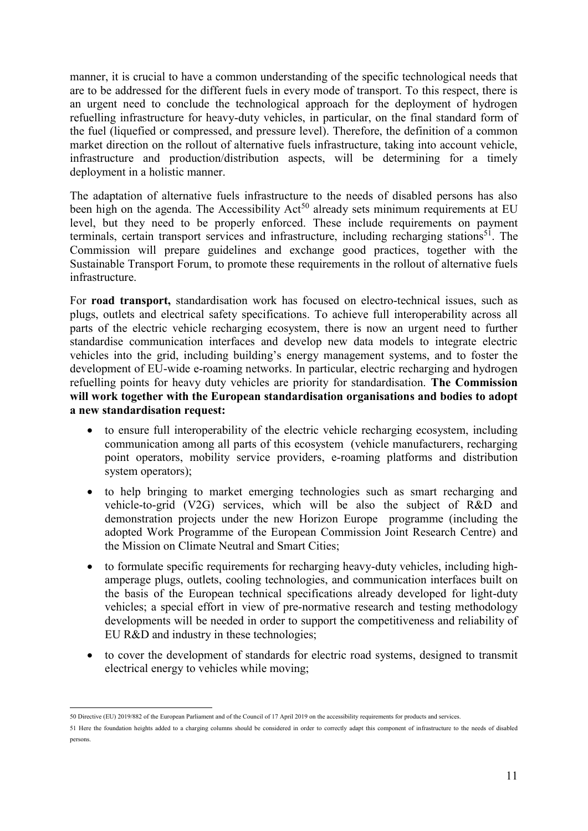manner, it is crucial to have a common understanding of the specific technological needs that are to be addressed for the different fuels in every mode of transport. To this respect, there is an urgent need to conclude the technological approach for the deployment of hydrogen refuelling infrastructure for heavy-duty vehicles, in particular, on the final standard form of the fuel (liquefied or compressed, and pressure level). Therefore, the definition of a common market direction on the rollout of alternative fuels infrastructure, taking into account vehicle, infrastructure and production/distribution aspects, will be determining for a timely deployment in a holistic manner.

The adaptation of alternative fuels infrastructure to the needs of disabled persons has also been high on the agenda. The Accessibility Act<sup>50</sup> already sets minimum requirements at EU level, but they need to be properly enforced. These include requirements on payment terminals, certain transport services and infrastructure, including recharging stations<sup>51</sup>. The Commission will prepare guidelines and exchange good practices, together with the Sustainable Transport Forum, to promote these requirements in the rollout of alternative fuels infrastructure.

For **road transport,** standardisation work has focused on electro-technical issues, such as plugs, outlets and electrical safety specifications. To achieve full interoperability across all parts of the electric vehicle recharging ecosystem, there is now an urgent need to further standardise communication interfaces and develop new data models to integrate electric vehicles into the grid, including building's energy management systems, and to foster the development of EU-wide e-roaming networks. In particular, electric recharging and hydrogen refuelling points for heavy duty vehicles are priority for standardisation. **The Commission will work together with the European standardisation organisations and bodies to adopt a new standardisation request:**

- to ensure full interoperability of the electric vehicle recharging ecosystem, including communication among all parts of this ecosystem (vehicle manufacturers, recharging point operators, mobility service providers, e-roaming platforms and distribution system operators);
- to help bringing to market emerging technologies such as smart recharging and vehicle-to-grid (V2G) services, which will be also the subject of R&D and demonstration projects under the new Horizon Europe programme (including the adopted Work Programme of the European Commission Joint Research Centre) and the Mission on Climate Neutral and Smart Cities;
- to formulate specific requirements for recharging heavy-duty vehicles, including highamperage plugs, outlets, cooling technologies, and communication interfaces built on the basis of the European technical specifications already developed for light-duty vehicles; a special effort in view of pre-normative research and testing methodology developments will be needed in order to support the competitiveness and reliability of EU R&D and industry in these technologies;
- to cover the development of standards for electric road systems, designed to transmit electrical energy to vehicles while moving;

<sup>1</sup> 50 Directive (EU) 2019/882 of the European Parliament and of the Council of 17 April 2019 on the accessibility requirements for products and services.

<sup>51</sup> Here the foundation heights added to a charging columns should be considered in order to correctly adapt this component of infrastructure to the needs of disabled persons.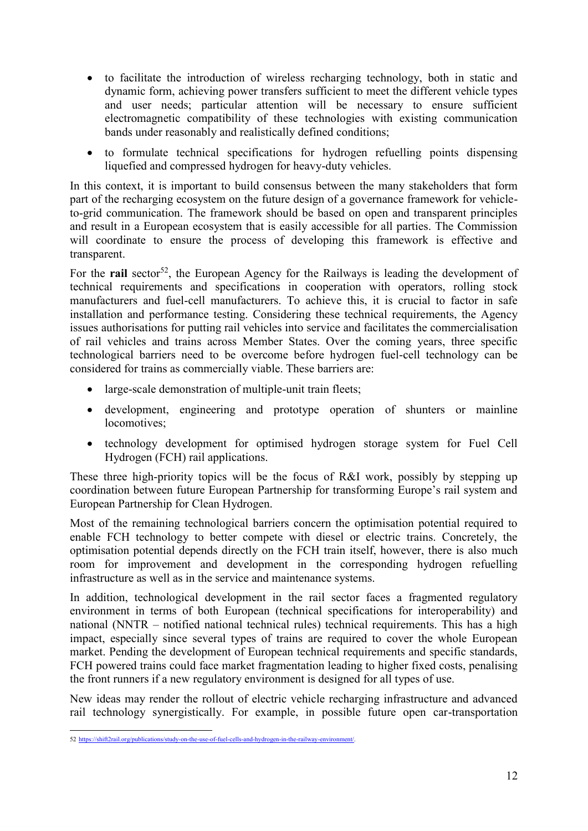- to facilitate the introduction of wireless recharging technology, both in static and dynamic form, achieving power transfers sufficient to meet the different vehicle types and user needs; particular attention will be necessary to ensure sufficient electromagnetic compatibility of these technologies with existing communication bands under reasonably and realistically defined conditions;
- to formulate technical specifications for hydrogen refuelling points dispensing liquefied and compressed hydrogen for heavy-duty vehicles.

In this context, it is important to build consensus between the many stakeholders that form part of the recharging ecosystem on the future design of a governance framework for vehicleto-grid communication. The framework should be based on open and transparent principles and result in a European ecosystem that is easily accessible for all parties. The Commission will coordinate to ensure the process of developing this framework is effective and transparent.

For the **rail** sector<sup>52</sup>, the European Agency for the Railways is leading the development of technical requirements and specifications in cooperation with operators, rolling stock manufacturers and fuel-cell manufacturers. To achieve this, it is crucial to factor in safe installation and performance testing. Considering these technical requirements, the Agency issues authorisations for putting rail vehicles into service and facilitates the commercialisation of rail vehicles and trains across Member States. Over the coming years, three specific technological barriers need to be overcome before hydrogen fuel-cell technology can be considered for trains as commercially viable. These barriers are:

- large-scale demonstration of multiple-unit train fleets;
- development, engineering and prototype operation of shunters or mainline locomotives;
- technology development for optimised hydrogen storage system for Fuel Cell Hydrogen (FCH) rail applications.

These three high-priority topics will be the focus of R&I work, possibly by stepping up coordination between future European Partnership for transforming Europe's rail system and European Partnership for Clean Hydrogen.

Most of the remaining technological barriers concern the optimisation potential required to enable FCH technology to better compete with diesel or electric trains. Concretely, the optimisation potential depends directly on the FCH train itself, however, there is also much room for improvement and development in the corresponding hydrogen refuelling infrastructure as well as in the service and maintenance systems.

In addition, technological development in the rail sector faces a fragmented regulatory environment in terms of both European (technical specifications for interoperability) and national (NNTR – notified national technical rules) technical requirements. This has a high impact, especially since several types of trains are required to cover the whole European market. Pending the development of European technical requirements and specific standards, FCH powered trains could face market fragmentation leading to higher fixed costs, penalising the front runners if a new regulatory environment is designed for all types of use.

New ideas may render the rollout of electric vehicle recharging infrastructure and advanced rail technology synergistically. For example, in possible future open car-transportation

 52 [https://shift2rail.org/publications/study-on-the-use-of-fuel-cells-and-hydrogen-in-the-railway-environment/.](https://shift2rail.org/publications/study-on-the-use-of-fuel-cells-and-hydrogen-in-the-railway-environment/)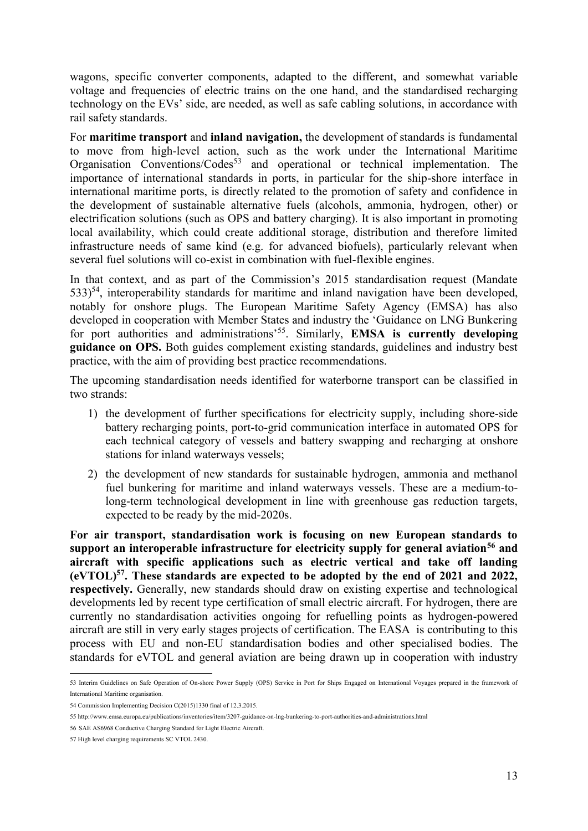wagons, specific converter components, adapted to the different, and somewhat variable voltage and frequencies of electric trains on the one hand, and the standardised recharging technology on the EVs' side, are needed, as well as safe cabling solutions, in accordance with rail safety standards.

For **maritime transport** and **inland navigation,** the development of standards is fundamental to move from high-level action, such as the work under the International Maritime Organisation Conventions/Codes<sup>53</sup> and operational or technical implementation. The importance of international standards in ports, in particular for the ship-shore interface in international maritime ports, is directly related to the promotion of safety and confidence in the development of sustainable alternative fuels (alcohols, ammonia, hydrogen, other) or electrification solutions (such as OPS and battery charging). It is also important in promoting local availability, which could create additional storage, distribution and therefore limited infrastructure needs of same kind (e.g. for advanced biofuels), particularly relevant when several fuel solutions will co-exist in combination with fuel-flexible engines.

In that context, and as part of the Commission's 2015 standardisation request (Mandate  $533$ <sup>54</sup>, interoperability standards for maritime and inland navigation have been developed, notably for onshore plugs. The European Maritime Safety Agency (EMSA) has also developed in cooperation with Member States and industry the 'Guidance on LNG Bunkering for port authorities and administrations<sup>'55</sup>. Similarly, **EMSA is currently developing guidance on OPS.** Both guides complement existing standards, guidelines and industry best practice, with the aim of providing best practice recommendations.

The upcoming standardisation needs identified for waterborne transport can be classified in two strands:

- 1) the development of further specifications for electricity supply, including shore-side battery recharging points, port-to-grid communication interface in automated OPS for each technical category of vessels and battery swapping and recharging at onshore stations for inland waterways vessels;
- 2) the development of new standards for sustainable hydrogen, ammonia and methanol fuel bunkering for maritime and inland waterways vessels. These are a medium-tolong-term technological development in line with greenhouse gas reduction targets, expected to be ready by the mid-2020s.

**For air transport, standardisation work is focusing on new European standards to support an interoperable infrastructure for electricity supply for general aviation<sup>56</sup> and aircraft with specific applications such as electric vertical and take off landing (eVTOL)<sup>57</sup>. These standards are expected to be adopted by the end of 2021 and 2022, respectively.** Generally, new standards should draw on existing expertise and technological developments led by recent type certification of small electric aircraft. For hydrogen, there are currently no standardisation activities ongoing for refuelling points as hydrogen-powered aircraft are still in very early stages projects of certification. The EASA is contributing to this process with EU and non-EU standardisation bodies and other specialised bodies. The standards for eVTOL and general aviation are being drawn up in cooperation with industry

 53 Interim Guidelines on Safe Operation of On-shore Power Supply (OPS) Service in Port for Ships Engaged on International Voyages prepared in the framework of International Maritime organisation.

<sup>54</sup> Commission Implementing Decision C(2015)1330 final of 12.3.2015.

<sup>5</sup>[5 http://www.emsa.europa.eu/publications/inventories/item/3207-guidance-on-lng-bunkering-to-port-authorities-and-administrations.html](http://www.emsa.europa.eu/publications/inventories/item/3207-guidance-on-lng-bunkering-to-port-authorities-and-administrations.html)

<sup>56</sup> SAE AS6968 Conductive Charging Standard for Light Electric Aircraft.

<sup>57</sup> High level charging requirements SC VTOL 2430.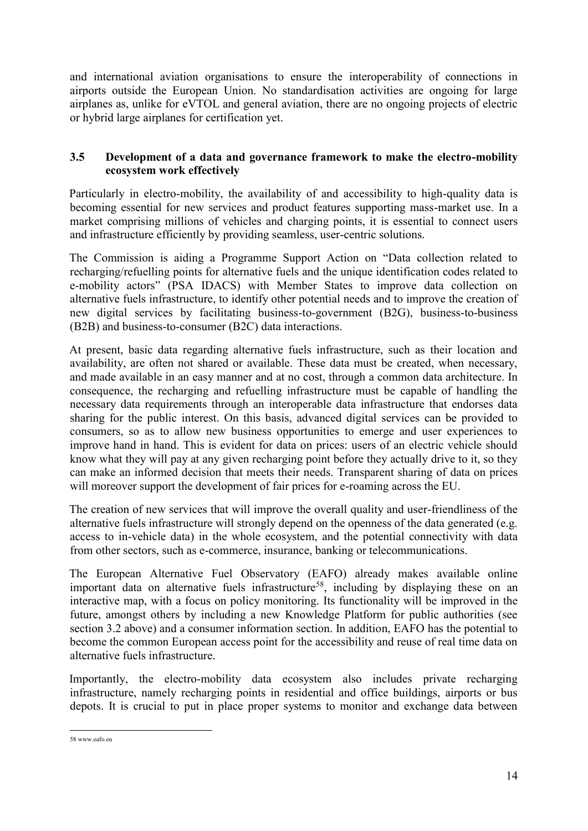and international aviation organisations to ensure the interoperability of connections in airports outside the European Union. No standardisation activities are ongoing for large airplanes as, unlike for eVTOL and general aviation, there are no ongoing projects of electric or hybrid large airplanes for certification yet.

# **3.5 Development of a data and governance framework to make the electro-mobility ecosystem work effectively**

Particularly in electro-mobility, the availability of and accessibility to high-quality data is becoming essential for new services and product features supporting mass-market use. In a market comprising millions of vehicles and charging points, it is essential to connect users and infrastructure efficiently by providing seamless, user-centric solutions.

The Commission is aiding a Programme Support Action on "Data collection related to recharging/refuelling points for alternative fuels and the unique identification codes related to e-mobility actors" (PSA IDACS) with Member States to improve data collection on alternative fuels infrastructure, to identify other potential needs and to improve the creation of new digital services by facilitating business-to-government (B2G), business-to-business (B2B) and business-to-consumer (B2C) data interactions.

At present, basic data regarding alternative fuels infrastructure, such as their location and availability, are often not shared or available. These data must be created, when necessary, and made available in an easy manner and at no cost, through a common data architecture. In consequence, the recharging and refuelling infrastructure must be capable of handling the necessary data requirements through an interoperable data infrastructure that endorses data sharing for the public interest. On this basis, advanced digital services can be provided to consumers, so as to allow new business opportunities to emerge and user experiences to improve hand in hand. This is evident for data on prices: users of an electric vehicle should know what they will pay at any given recharging point before they actually drive to it, so they can make an informed decision that meets their needs. Transparent sharing of data on prices will moreover support the development of fair prices for e-roaming across the EU.

The creation of new services that will improve the overall quality and user-friendliness of the alternative fuels infrastructure will strongly depend on the openness of the data generated (e.g. access to in-vehicle data) in the whole ecosystem, and the potential connectivity with data from other sectors, such as e-commerce, insurance, banking or telecommunications.

The European Alternative Fuel Observatory (EAFO) already makes available online important data on alternative fuels infrastructure<sup>58</sup>, including by displaying these on an interactive map, with a focus on policy monitoring. Its functionality will be improved in the future, amongst others by including a new Knowledge Platform for public authorities (see section 3.2 above) and a consumer information section. In addition, EAFO has the potential to become the common European access point for the accessibility and reuse of real time data on alternative fuels infrastructure.

Importantly, the electro-mobility data ecosystem also includes private recharging infrastructure, namely recharging points in residential and office buildings, airports or bus depots. It is crucial to put in place proper systems to monitor and exchange data between

 58 [www.eafo.eu](http://www.eafo.eu/)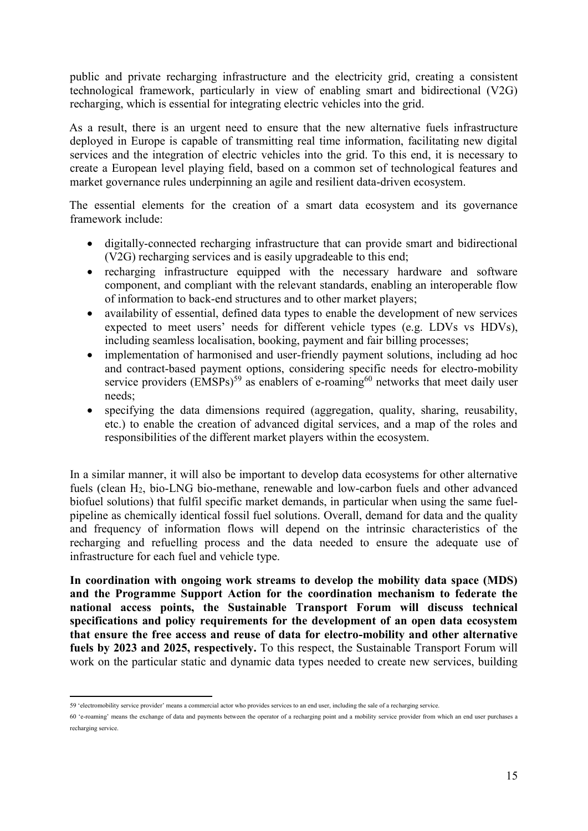public and private recharging infrastructure and the electricity grid, creating a consistent technological framework, particularly in view of enabling smart and bidirectional (V2G) recharging, which is essential for integrating electric vehicles into the grid.

As a result, there is an urgent need to ensure that the new alternative fuels infrastructure deployed in Europe is capable of transmitting real time information, facilitating new digital services and the integration of electric vehicles into the grid. To this end, it is necessary to create a European level playing field, based on a common set of technological features and market governance rules underpinning an agile and resilient data-driven ecosystem.

The essential elements for the creation of a smart data ecosystem and its governance framework include:

- digitally-connected recharging infrastructure that can provide smart and bidirectional (V2G) recharging services and is easily upgradeable to this end;
- recharging infrastructure equipped with the necessary hardware and software component, and compliant with the relevant standards, enabling an interoperable flow of information to back-end structures and to other market players;
- availability of essential, defined data types to enable the development of new services expected to meet users' needs for different vehicle types (e.g. LDVs vs HDVs), including seamless localisation, booking, payment and fair billing processes;
- implementation of harmonised and user-friendly payment solutions, including ad hoc and contract-based payment options, considering specific needs for electro-mobility service providers  $(EMSPs)^{59}$  as enablers of e-roaming<sup>60</sup> networks that meet daily user needs;
- specifying the data dimensions required (aggregation, quality, sharing, reusability, etc.) to enable the creation of advanced digital services, and a map of the roles and responsibilities of the different market players within the ecosystem.

In a similar manner, it will also be important to develop data ecosystems for other alternative fuels (clean H2, bio-LNG bio-methane, renewable and low-carbon fuels and other advanced biofuel solutions) that fulfil specific market demands, in particular when using the same fuelpipeline as chemically identical fossil fuel solutions. Overall, demand for data and the quality and frequency of information flows will depend on the intrinsic characteristics of the recharging and refuelling process and the data needed to ensure the adequate use of infrastructure for each fuel and vehicle type.

**In coordination with ongoing work streams to develop the mobility data space (MDS) and the Programme Support Action for the coordination mechanism to federate the national access points, the Sustainable Transport Forum will discuss technical specifications and policy requirements for the development of an open data ecosystem that ensure the free access and reuse of data for electro-mobility and other alternative fuels by 2023 and 2025, respectively.** To this respect, the Sustainable Transport Forum will work on the particular static and dynamic data types needed to create new services, building

<sup>1</sup> 59 'electromobility service provider' means a commercial actor who provides services to an end user, including the sale of a recharging service.

<sup>60</sup> 'e-roaming' means the exchange of data and payments between the operator of a recharging point and a mobility service provider from which an end user purchases a recharging service.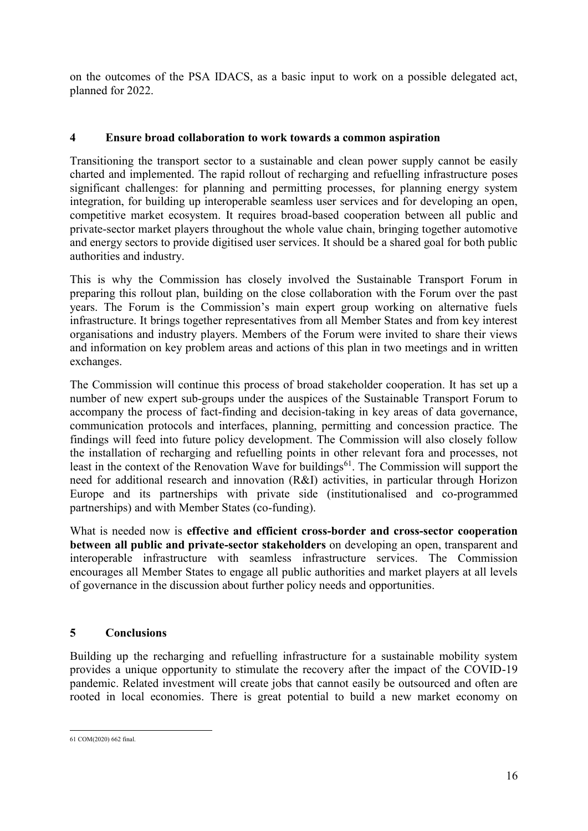on the outcomes of the PSA IDACS, as a basic input to work on a possible delegated act, planned for 2022.

# **4 Ensure broad collaboration to work towards a common aspiration**

Transitioning the transport sector to a sustainable and clean power supply cannot be easily charted and implemented. The rapid rollout of recharging and refuelling infrastructure poses significant challenges: for planning and permitting processes, for planning energy system integration, for building up interoperable seamless user services and for developing an open, competitive market ecosystem. It requires broad-based cooperation between all public and private-sector market players throughout the whole value chain, bringing together automotive and energy sectors to provide digitised user services. It should be a shared goal for both public authorities and industry.

This is why the Commission has closely involved the Sustainable Transport Forum in preparing this rollout plan, building on the close collaboration with the Forum over the past years. The Forum is the Commission's main expert group working on alternative fuels infrastructure. It brings together representatives from all Member States and from key interest organisations and industry players. Members of the Forum were invited to share their views and information on key problem areas and actions of this plan in two meetings and in written exchanges.

The Commission will continue this process of broad stakeholder cooperation. It has set up a number of new expert sub-groups under the auspices of the Sustainable Transport Forum to accompany the process of fact-finding and decision-taking in key areas of data governance, communication protocols and interfaces, planning, permitting and concession practice. The findings will feed into future policy development. The Commission will also closely follow the installation of recharging and refuelling points in other relevant fora and processes, not least in the context of the Renovation Wave for buildings<sup>61</sup>. The Commission will support the need for additional research and innovation (R&I) activities, in particular through Horizon Europe and its partnerships with private side (institutionalised and co-programmed partnerships) and with Member States (co-funding).

What is needed now is **effective and efficient cross-border and cross-sector cooperation between all public and private-sector stakeholders** on developing an open, transparent and interoperable infrastructure with seamless infrastructure services. The Commission encourages all Member States to engage all public authorities and market players at all levels of governance in the discussion about further policy needs and opportunities.

# **5 Conclusions**

Building up the recharging and refuelling infrastructure for a sustainable mobility system provides a unique opportunity to stimulate the recovery after the impact of the COVID-19 pandemic. Related investment will create jobs that cannot easily be outsourced and often are rooted in local economies. There is great potential to build a new market economy on

 61 COM(2020) 662 final.